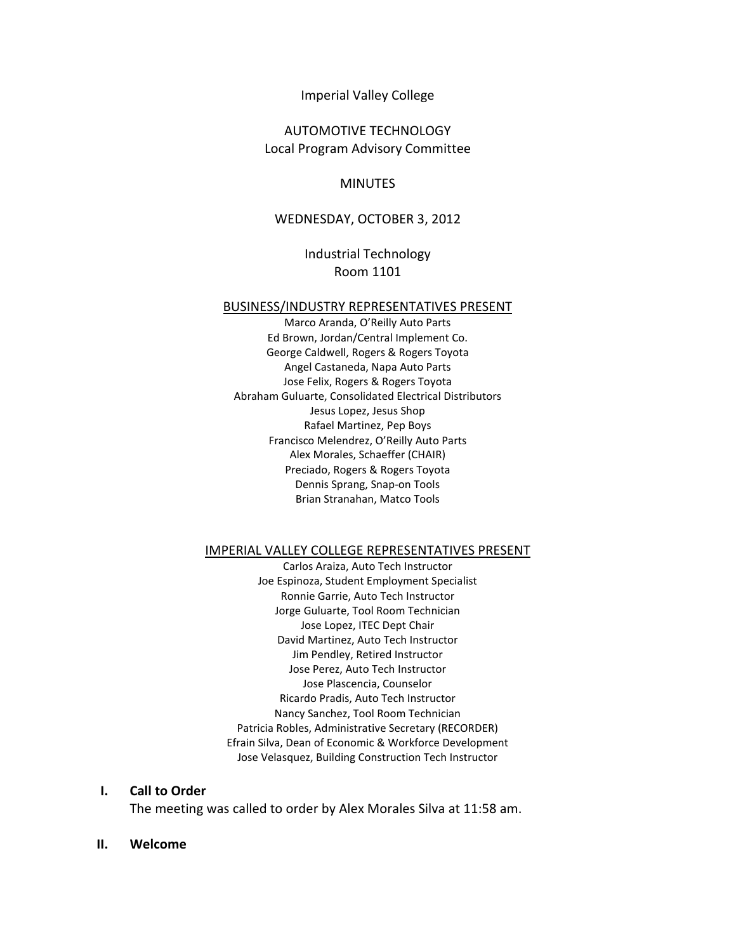#### Imperial Valley College

## AUTOMOTIVE TECHNOLOGY Local Program Advisory Committee

#### MINUTES

#### WEDNESDAY, OCTOBER 3, 2012

### Industrial Technology Room 1101

#### BUSINESS/INDUSTRY REPRESENTATIVES PRESENT

Marco Aranda, O'Reilly Auto Parts Ed Brown, Jordan/Central Implement Co. George Caldwell, Rogers & Rogers Toyota Angel Castaneda, Napa Auto Parts Jose Felix, Rogers & Rogers Toyota Abraham Guluarte, Consolidated Electrical Distributors Jesus Lopez, Jesus Shop Rafael Martinez, Pep Boys Francisco Melendrez, O'Reilly Auto Parts Alex Morales, Schaeffer (CHAIR) Preciado, Rogers & Rogers Toyota Dennis Sprang, Snap-on Tools Brian Stranahan, Matco Tools

#### IMPERIAL VALLEY COLLEGE REPRESENTATIVES PRESENT

Carlos Araiza, Auto Tech Instructor Joe Espinoza, Student Employment Specialist Ronnie Garrie, Auto Tech Instructor Jorge Guluarte, Tool Room Technician Jose Lopez, ITEC Dept Chair David Martinez, Auto Tech Instructor Jim Pendley, Retired Instructor Jose Perez, Auto Tech Instructor Jose Plascencia, Counselor Ricardo Pradis, Auto Tech Instructor Nancy Sanchez, Tool Room Technician Patricia Robles, Administrative Secretary (RECORDER) Efrain Silva, Dean of Economic & Workforce Development Jose Velasquez, Building Construction Tech Instructor

#### **I. Call to Order**

The meeting was called to order by Alex Morales Silva at 11:58 am.

#### **II. Welcome**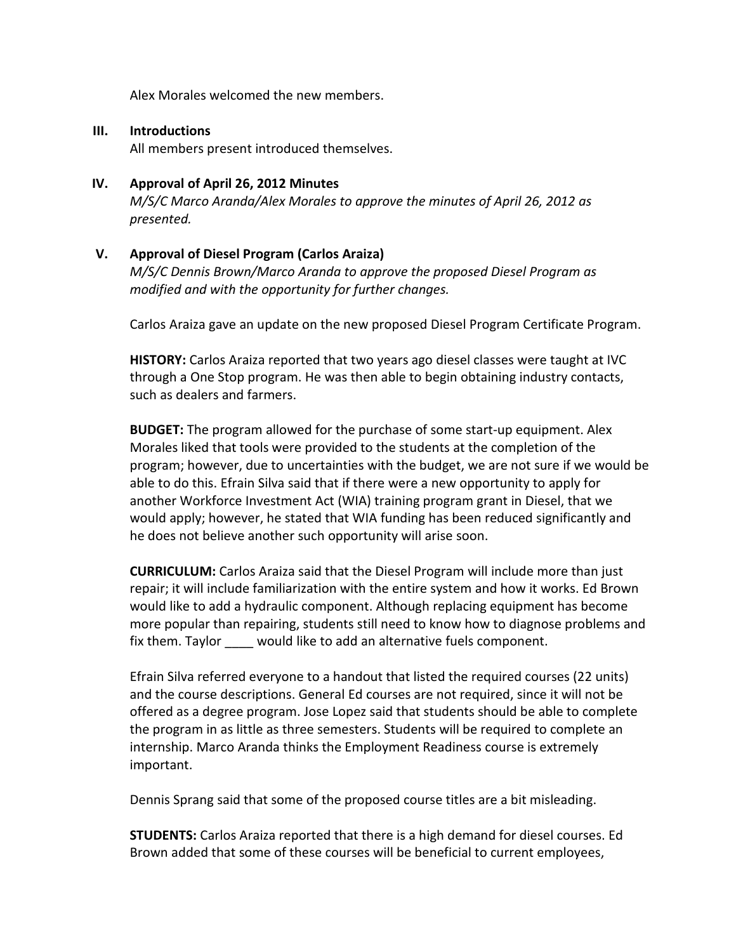Alex Morales welcomed the new members.

### **III. Introductions**

All members present introduced themselves.

## **IV. Approval of April 26, 2012 Minutes**

*M/S/C Marco Aranda/Alex Morales to approve the minutes of April 26, 2012 as presented.*

## **V. Approval of Diesel Program (Carlos Araiza)**

*M/S/C Dennis Brown/Marco Aranda to approve the proposed Diesel Program as modified and with the opportunity for further changes.*

Carlos Araiza gave an update on the new proposed Diesel Program Certificate Program.

**HISTORY:** Carlos Araiza reported that two years ago diesel classes were taught at IVC through a One Stop program. He was then able to begin obtaining industry contacts, such as dealers and farmers.

**BUDGET:** The program allowed for the purchase of some start-up equipment. Alex Morales liked that tools were provided to the students at the completion of the program; however, due to uncertainties with the budget, we are not sure if we would be able to do this. Efrain Silva said that if there were a new opportunity to apply for another Workforce Investment Act (WIA) training program grant in Diesel, that we would apply; however, he stated that WIA funding has been reduced significantly and he does not believe another such opportunity will arise soon.

**CURRICULUM:** Carlos Araiza said that the Diesel Program will include more than just repair; it will include familiarization with the entire system and how it works. Ed Brown would like to add a hydraulic component. Although replacing equipment has become more popular than repairing, students still need to know how to diagnose problems and fix them. Taylor would like to add an alternative fuels component.

Efrain Silva referred everyone to a handout that listed the required courses (22 units) and the course descriptions. General Ed courses are not required, since it will not be offered as a degree program. Jose Lopez said that students should be able to complete the program in as little as three semesters. Students will be required to complete an internship. Marco Aranda thinks the Employment Readiness course is extremely important.

Dennis Sprang said that some of the proposed course titles are a bit misleading.

**STUDENTS:** Carlos Araiza reported that there is a high demand for diesel courses. Ed Brown added that some of these courses will be beneficial to current employees,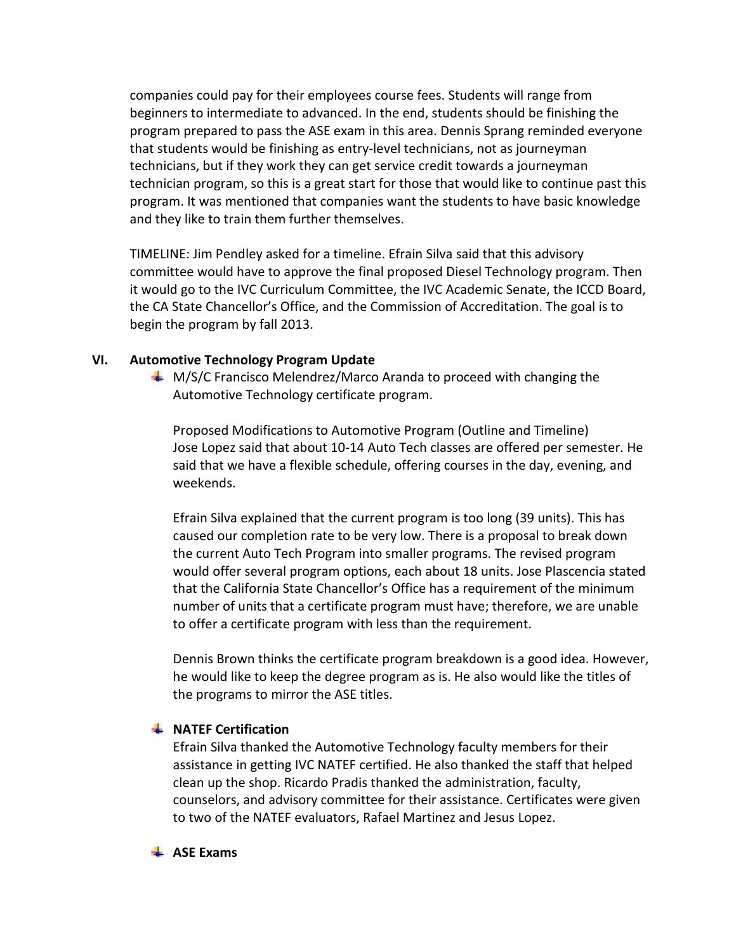companies could pay for their employees course fees. Students will range from beginners to intermediate to advanced. In the end, students should be finishing the program prepared to pass the ASE exam in this area. Dennis Sprang reminded everyone that students would be finishing as entry-level technicians, not as journeyman technicians, but if they work they can get service credit towards a journeyman technician program, so this is a great start for those that would like to continue past this program. It was mentioned that companies want the students to have basic knowledge and they like to train them further themselves.

TIMELINE: Jim Pendley asked for a timeline. Efrain Silva said that this advisory committee would have to approve the final proposed Diesel Technology program. Then it would go to the IVC Curriculum Committee, the IVC Academic Senate, the ICCD Board, the CA State Chancellor's Office, and the Commission of Accreditation. The goal is to begin the program by fall 2013.

### **VI. Automotive Technology Program Update**

 $\text{M/S/C}$  Francisco Melendrez/Marco Aranda to proceed with changing the Automotive Technology certificate program.

Proposed Modifications to Automotive Program (Outline and Timeline) Jose Lopez said that about 10-14 Auto Tech classes are offered per semester. He said that we have a flexible schedule, offering courses in the day, evening, and weekends.

Efrain Silva explained that the current program is too long (39 units). This has caused our completion rate to be very low. There is a proposal to break down the current Auto Tech Program into smaller programs. The revised program would offer several program options, each about 18 units. Jose Plascencia stated that the California State Chancellor's Office has a requirement of the minimum number of units that a certificate program must have; therefore, we are unable to offer a certificate program with less than the requirement.

Dennis Brown thinks the certificate program breakdown is a good idea. However, he would like to keep the degree program as is. He also would like the titles of the programs to mirror the ASE titles.

### **WATEF Certification**

Efrain Silva thanked the Automotive Technology faculty members for their assistance in getting IVC NATEF certified. He also thanked the staff that helped clean up the shop. Ricardo Pradis thanked the administration, faculty, counselors, and advisory committee for their assistance. Certificates were given to two of the NATEF evaluators, Rafael Martinez and Jesus Lopez.